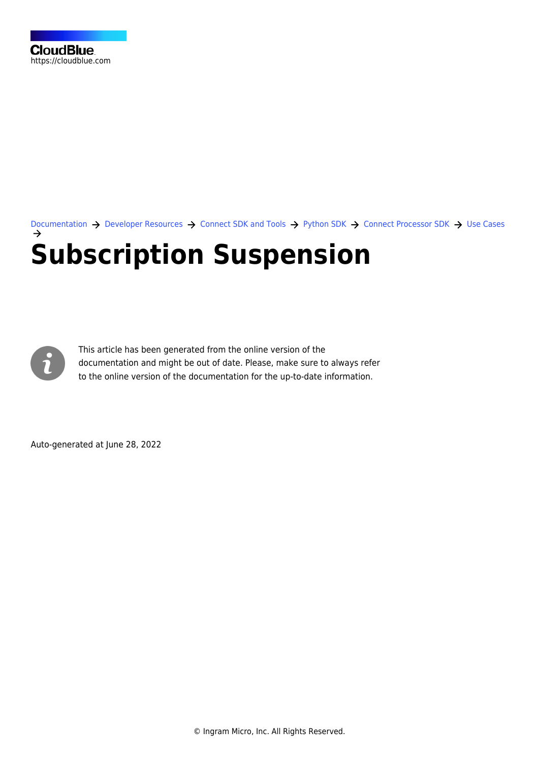[Documentation](https://connect.cloudblue.com/documentation)  $\rightarrow$  [Developer Resources](https://connect.cloudblue.com/community/developers/)  $\rightarrow$  [Connect SDK and Tools](https://connect.cloudblue.com/community/developers/sdk/)  $\rightarrow$  [Python SDK](https://connect.cloudblue.com/community/developers/sdk/python-sdk/)  $\rightarrow$  [Connect Processor SDK](https://connect.cloudblue.com/community/developers/sdk/python-sdk/connect-processor-sdk/)  $\rightarrow$  [Use Cases](https://connect.cloudblue.com/community/developers/sdk/python-sdk/connect-processor-sdk/use-cases/) **[Subscription Suspension](https://connect.cloudblue.com/community/developers/sdk/python-sdk/connect-processor-sdk/use-cases/subscription-suspension/)**



This article has been generated from the online version of the documentation and might be out of date. Please, make sure to always refer to the online version of the documentation for the up-to-date information.

Auto-generated at June 28, 2022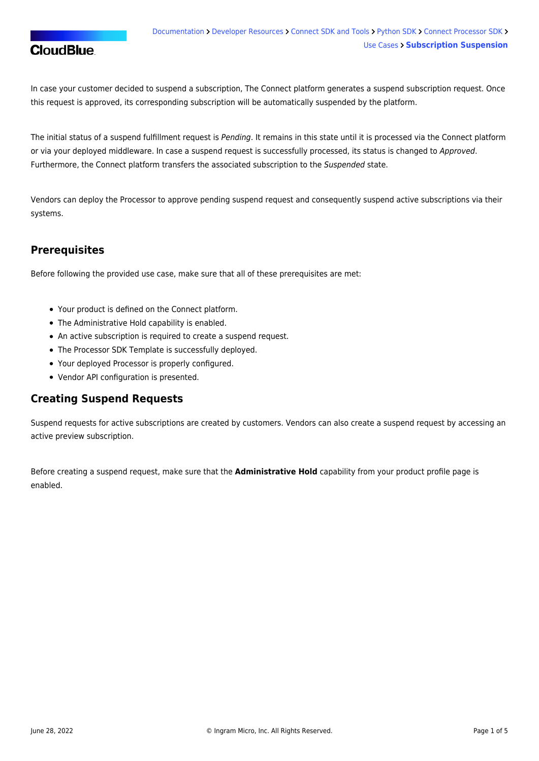# **CloudBlue**

In case your customer decided to suspend a subscription, The Connect platform generates a suspend subscription request. Once this request is approved, its corresponding subscription will be automatically suspended by the platform.

The initial status of a suspend fulfillment request is Pending. It remains in this state until it is processed via the Connect platform or via your deployed middleware. In case a suspend request is successfully processed, its status is changed to Approved. Furthermore, the Connect platform transfers the associated subscription to the Suspended state.

Vendors can deploy the Processor to approve pending suspend request and consequently suspend active subscriptions via their systems.

## **Prerequisites**

Before following the provided use case, make sure that all of these prerequisites are met:

- Your [product](https://connect.cloudblue.com/community/modules/products/) is defined on the Connect platform.
- The [Administrative Hold](https://connect.cloudblue.com/community/modules/products/capabilities/) capability is enabled.
- An active [subscription](https://connect.cloudblue.com/community/modules/subscriptions/) is required to create a suspend request.
- The [Processor SDK Template](https://connect.cloudblue.com/community/sdk/connect-processor-sdk/processor-template/) is successfully deployed.
- Your deployed Processor is [properly configured.](https://connect.cloudblue.com/community/sdk/connect-processor-sdk/configuration/)
- [Vendor API configuration](https://connect.cloudblue.com/community/sdk/connect-processor-sdk/configuration/#Connection_configuration) is presented.

## **Creating Suspend Requests**

Suspend requests for active subscriptions are created by customers. Vendors can also create a suspend request by accessing an active preview subscription.

Before creating a suspend request, make sure that the **Administrative Hold** capability from your product profile page is enabled.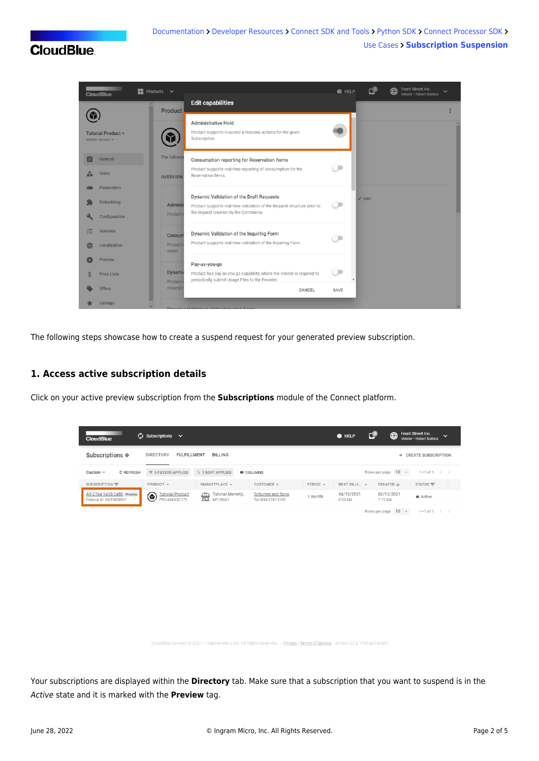# **CloudBlue**



The following steps showcase how to create a suspend request for your generated preview subscription.

#### **1. Access active subscription details**

Click on your active preview subscription from the **Subscriptions** module of the Connect platform.

| <b>CloudBlue</b>                                     | $\mathcal{C}$ Subscriptions $\vee$              |                                   |                                      |          | <b>@</b> HELP         | с₽                    | Front Street Inc.<br>⊕<br>$\checkmark$<br>Vendor · Robert Balboa |
|------------------------------------------------------|-------------------------------------------------|-----------------------------------|--------------------------------------|----------|-----------------------|-----------------------|------------------------------------------------------------------|
| Subscriptions <sup>o</sup>                           | <b>DIRECTORY</b><br><b>FULFILLMENT</b>          | <b>BILLING</b>                    |                                      |          |                       |                       | <b>CREATE SUBSCRIPTION</b><br>$+$                                |
| Custom $\sim$<br>C REFRESH                           | $\overline{7}$ 3 FILTERS APPLIED                | <sup>1</sup> + 1 SORT APPLIED     | <b>III</b> COLUMNS                   |          |                       | Rows per page 10 -    | $1-1$ of $1 \leq$                                                |
| SUBSCRIPTION $\equiv$                                | PRODUCT -                                       | MARKETPLACE -                     | CUSTOMER $\sim$                      | PERIOD - | NEXT BILLI ~          | CREATED J             | STATUS $\equiv$                                                  |
| AS-2764-1458-2480 Preview<br>External ID: 86EFMS8RLY | ◉<br><b>Tutorial Product</b><br>PRD-404-832-779 | Tutorial Marketp<br>壸<br>MP-38661 | Schumm and Sons<br>TA-5894-2747-5105 | 1 month  | 04/12/2021<br>8:33 AM | 02/12/2021<br>7:11 AM | $\bullet$ Active                                                 |
|                                                      |                                                 |                                   |                                      |          |                       | Rows per page 10 -    | $1-1$ of $1 \leftarrow \rightarrow$                              |

.<br>IdBlue Connect © 2021 — Ingram Micro Inc. All Rights Reserved. — <mark>Privacy | Terms of Service</mark> - Version 22.0.1709-g0140e07

Your subscriptions are displayed within the **Directory** tab. Make sure that a subscription that you want to suspend is in the Active state and it is marked with the **Preview** tag.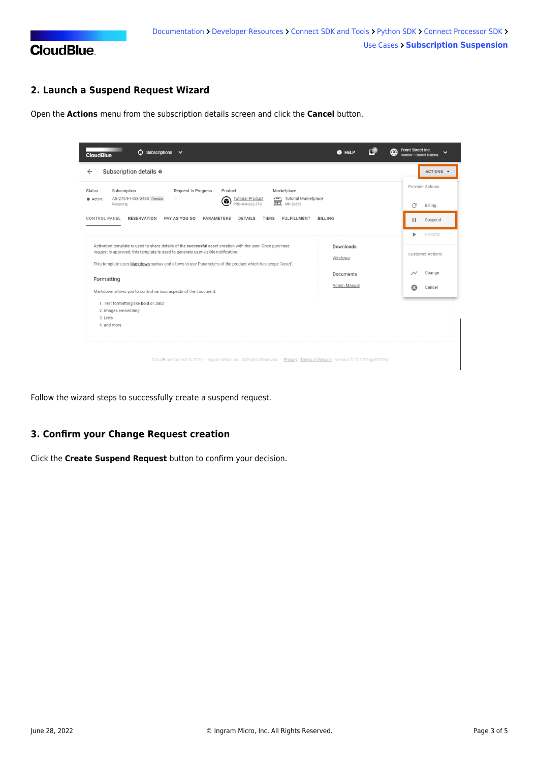

### **2. Launch a Suspend Request Wizard**

Open the **Actions** menu from the subscription details screen and click the **Cancel** button.

| ø<br>Subscriptions $\sim$<br><b>CloudBlue</b>                                                                                                                                                                                                                                                              | @ HELP                    | ⊕ | Front Street Inc.<br>Vendor · Robert Balboa | $\checkmark$            |
|------------------------------------------------------------------------------------------------------------------------------------------------------------------------------------------------------------------------------------------------------------------------------------------------------------|---------------------------|---|---------------------------------------------|-------------------------|
| Subscription details $\circ$<br>$\leftarrow$                                                                                                                                                                                                                                                               |                           |   |                                             | ACTIONS -               |
| Subscription<br><b>Request In Progress</b><br>Marketplace<br>Product<br><b>Status</b>                                                                                                                                                                                                                      |                           |   |                                             | <b>Provider Actions</b> |
| AS-2764-1458-2480 Preview<br><b>Tutorial Marketplace</b><br><b>Tutorial Product</b><br>$\triangleq$<br>Active<br>6<br>PRD-404-832-779<br>MP-38661<br>Recurring                                                                                                                                             |                           |   | C                                           | Billing                 |
| <b>BILLING</b><br><b>CONTROL PANEL</b><br><b>RESERVATION</b><br>PAY AS YOU GO<br><b>PARAMETERS</b><br><b>DETAILS</b><br><b>TIERS</b><br><b>FULFILLMENT</b>                                                                                                                                                 |                           |   |                                             | Suspend                 |
|                                                                                                                                                                                                                                                                                                            |                           |   |                                             | Resume                  |
| Activation template is used to share details of the successful asset creation with the user. Once purchase<br>request is approved, this template is used to generate user-visible notification.<br>This template uses Markdown syntax and allows to use Parameters of the product which has scope 'Asset'. | Downloads<br>Windows      |   |                                             | <b>Customer Actions</b> |
| Formatting<br>Markdown allows you to control various aspects of the document:                                                                                                                                                                                                                              | Documents<br>Admin Manual |   | ධ                                           | Change<br>Cancel        |
| 1. Text formatting like bold or italic<br>2. Images embedding<br>3. Lists<br>4. and more                                                                                                                                                                                                                   |                           |   |                                             |                         |
| CloudBlue Connect @ 2021 - Ingram Micro Inc. All Rights Reserved. - Privacy   Terms of Service - Version 22.0.1726-gd372f5d                                                                                                                                                                                |                           |   |                                             |                         |

Follow the wizard steps to successfully create a suspend request.

#### **3. Confirm your Change Request creation**

Click the **Create Suspend Request** button to confirm your decision.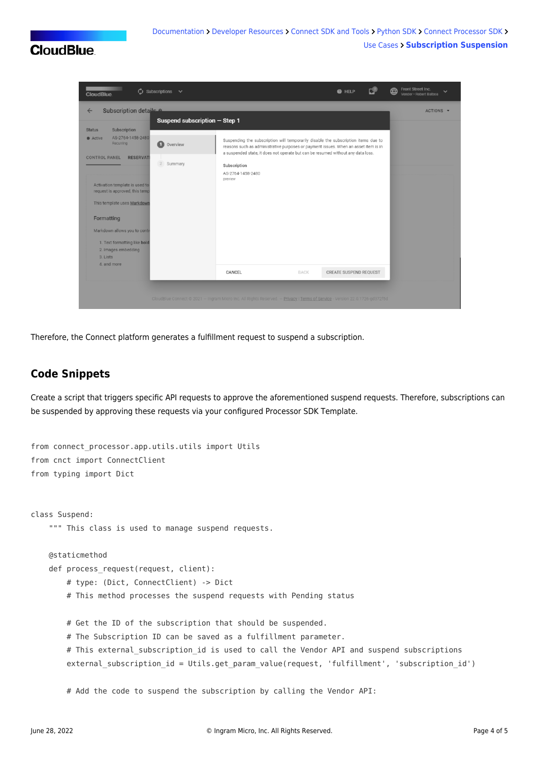# **CloudBlue**



Therefore, the Connect platform generates a fulfillment request to suspend a subscription.

### **Code Snippets**

Create a script that triggers specific API requests to approve the aforementioned suspend requests. Therefore, subscriptions can be suspended by approving these requests via your configured [Processor SDK Template.](https://github.com/cloudblue/connect-processor-template-for-python)

```
from connect processor.app.utils.utils import Utils
from cnct import ConnectClient
from typing import Dict
class Suspend:
     """ This class is used to manage suspend requests.
     @staticmethod
    def process request(request, client):
         # type: (Dict, ConnectClient) -> Dict
         # This method processes the suspend requests with Pending status
         # Get the ID of the subscription that should be suspended.
         # The Subscription ID can be saved as a fulfillment parameter.
        # This external subscription id is used to call the Vendor API and suspend subscriptions
        external subscription id = Utils.get param value(request, 'fulfillment', 'subscription id')
         # Add the code to suspend the subscription by calling the Vendor API:
```